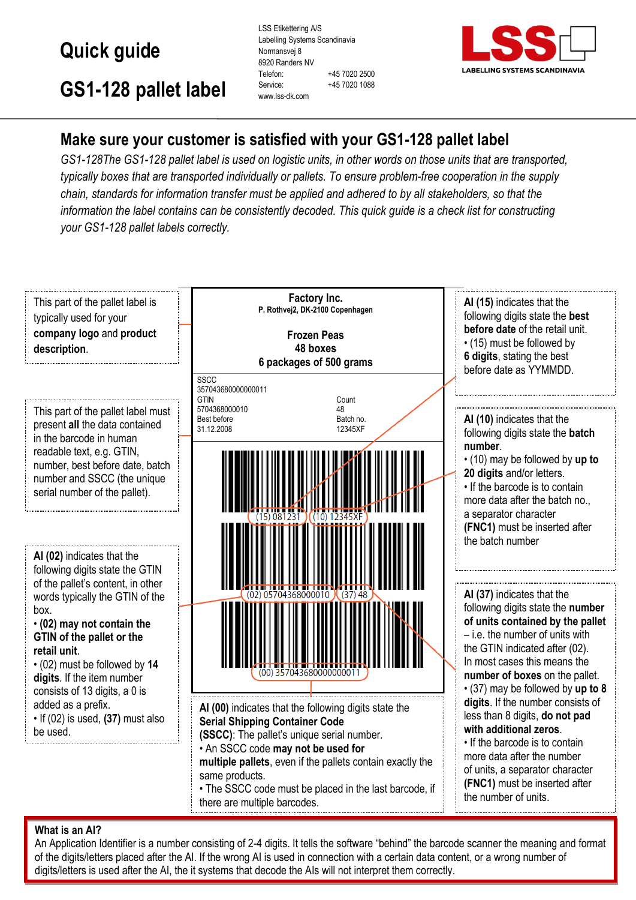# **Quick guide**

LSS Etikettering A/S Labelling Systems Scandinavia Normansvej 8 8920 Randers NV Telefon: +45 7020 2500 Service: +45 7020 1088 www.lss-dk.com



the number of units.

## **GS1-128 pallet label**

## **Make sure your customer is satisfied with your GS1-128 pallet label**

*GS1-128The GS1-128 pallet label is used on logistic units, in other words on those units that are transported, typically boxes that are transported individually or pallets. To ensure problem-free cooperation in the supply chain, standards for information transfer must be applied and adhered to by all stakeholders, so that the information the label contains can be consistently decoded. This quick guide is a check list for constructing your GS1-128 pallet labels correctly.*



• The SSCC code must be placed in the last barcode, if there are multiple barcodes.

#### **What is an AI?**

An Application Identifier is a number consisting of 2-4 digits. It tells the software "behind" the barcode scanner the meaning and format of the digits/letters placed after the AI. If the wrong AI is used in connection with a certain data content, or a wrong number of digits/letters is used after the AI, the it systems that decode the AIs will not interpret them correctly.